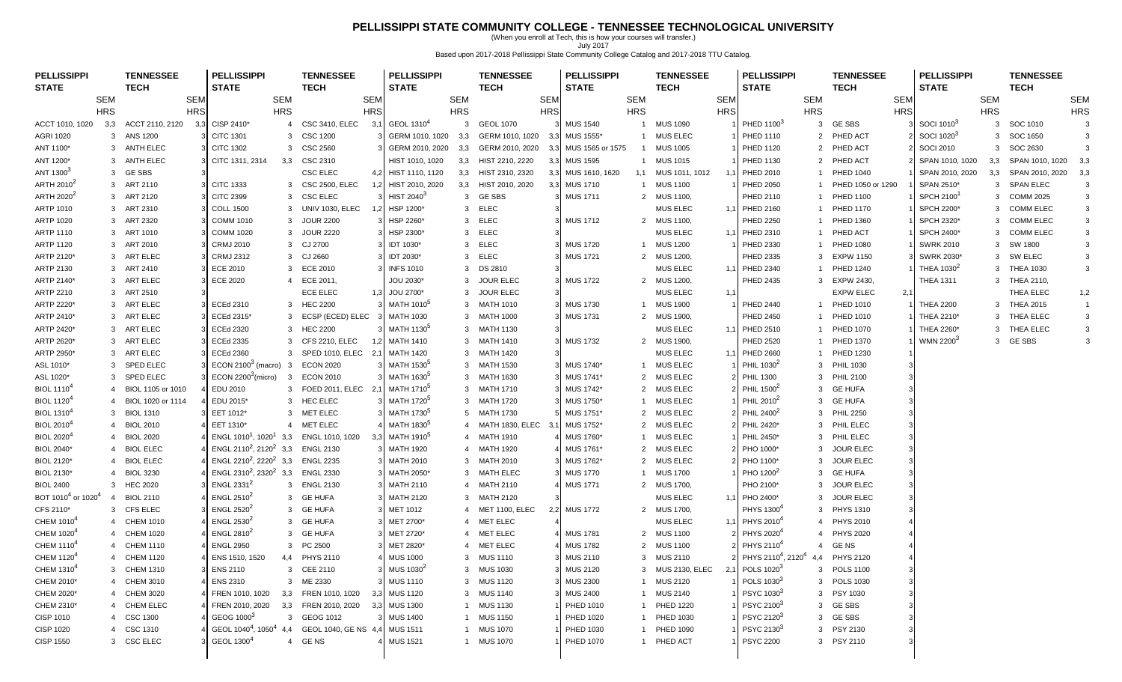### **PELLISSIPPI STATE COMMUNITY COLLEGE - TENNESSEE TECHNOLOGICAL UNIVERSITY**

(When you enroll at Tech, this is how your courses will transfer.) July 2017 Based upon 2017-2018 Pellissippi State Community College Catalog and 2017-2018 TTU Catalog.

| <b>PELLISSIPPI</b>                         |                | <b>TENNESSEE</b>  |            | <b>PELLISSIPPI</b>                             |                | <b>TENNESSEE</b>      |                  | <b>PELLISSIPPI</b>       |              | <b>TENNESSEE</b>    |            | <b>PELLISSIPPI</b> |                | <b>TENNESSEE</b>    |            | <b>PELLISSIPPI</b>                             |                | <b>TENNESSEE</b>  |            | <b>PELLISSIPPI</b>     |            | <b>TENNESSEE</b>    |                |
|--------------------------------------------|----------------|-------------------|------------|------------------------------------------------|----------------|-----------------------|------------------|--------------------------|--------------|---------------------|------------|--------------------|----------------|---------------------|------------|------------------------------------------------|----------------|-------------------|------------|------------------------|------------|---------------------|----------------|
| <b>STATE</b>                               |                | <b>TECH</b>       |            | <b>STATE</b>                                   |                | <b>TECH</b>           |                  | <b>STATE</b>             |              | <b>TECH</b>         |            | <b>STATE</b>       |                | <b>TECH</b>         |            | <b>STATE</b>                                   |                | <b>TECH</b>       |            | <b>STATE</b>           |            | <b>TECH</b>         |                |
|                                            | <b>SEM</b>     |                   | <b>SEM</b> |                                                | <b>SEM</b>     |                       | <b>SEM</b>       |                          | <b>SEM</b>   |                     | <b>SEM</b> |                    | <b>SEM</b>     |                     | <b>SEM</b> |                                                | <b>SEM</b>     |                   | <b>SEM</b> |                        | SEM        |                     | <b>SEM</b>     |
|                                            | <b>HRS</b>     |                   | <b>HRS</b> |                                                | <b>HRS</b>     |                       | <b>HRS</b>       |                          | <b>HRS</b>   |                     | <b>HRS</b> |                    | <b>HRS</b>     |                     | <b>HRS</b> |                                                | <b>HRS</b>     |                   | <b>HRS</b> |                        | <b>HRS</b> |                     | <b>HRS</b>     |
| ACCT 1010, 1020                            | 3,3            | ACCT 2110, 2120   |            | 3,3 CISP 2410*                                 | $\overline{4}$ | <b>CSC 3410, ELEC</b> | 3,1              | GEOL 1310 <sup>4</sup>   | $\mathbf{3}$ | <b>GEOL 1070</b>    |            | <b>MUS 1540</b>    |                | 1 MUS 1090          |            | PHED 1100 <sup>3</sup>                         | $\mathbf{3}$   | GE SBS            |            | SOCI 1010 <sup>3</sup> |            | 3 SOC 1010          | 3              |
| <b>AGRI 1020</b>                           |                | 3 ANS 1200        |            | 3 CITC 1301                                    | $\mathbf{3}$   | <b>CSC 1200</b>       | 3                | GERM 1010, 1020          | 3,3          | GERM 1010, 1020     | 3,3        | MUS 1555*          |                | 1 MUS ELEC          |            | <b>PHED 1110</b>                               | $\overline{2}$ | PHED ACT          |            | SOCI 1020 <sup>3</sup> | 3          | SOC 1650            | 3              |
| ANT 1100*                                  |                | 3 ANTH ELEC       |            | CITC 1302                                      | 3              | <b>CSC 2560</b>       |                  | GERM 2010, 2020          | 3,3          | GERM 2010, 2020     | 3,3        | MUS 1565 or 1575   | $\overline{1}$ | <b>MUS 1005</b>     |            | PHED 1120                                      | 2              | PHED ACT          |            | <b>SOCI 2010</b>       |            | 3 SOC 2630          | 3              |
| ANT 1200*                                  |                | 3 ANTH ELEC       |            | CITC 1311, 2314                                |                | 3,3 CSC 2310          |                  | HIST 1010, 1020          | 3,3          | HIST 2210, 2220     | 3,3        | <b>MUS 1595</b>    |                | 1 MUS 1015          |            | PHED 1130                                      | 2              | PHED ACT          |            | SPAN 1010, 1020        |            | 3,3 SPAN 1010, 1020 | -3,3           |
| ANT 1300 <sup>3</sup>                      |                | 3 GESBS           |            |                                                |                | <b>CSC ELEC</b>       |                  | 4,2 HIST 1110, 1120      |              | 3,3 HIST 2310, 2320 | 3,3        | MUS 1610, 1620     |                | 1,1 MUS 1011, 1012  |            | <b>PHED 2010</b>                               |                | <b>PHED 1040</b>  |            | SPAN 2010, 2020        |            | 3,3 SPAN 2010, 2020 | 3,3            |
| ARTH 2010 <sup>2</sup>                     |                | 3 ART 2110        |            | 3 CITC 1333                                    | 3              | <b>CSC 2500, ELEC</b> |                  | HIST 2010, 2020          |              | 3,3 HIST 2010, 2020 | 3,3        | <b>MUS 1710</b>    |                | 1 MUS 1100          |            | <b>PHED 2050</b>                               |                | PHED 1050 or 1290 |            | SPAN 2510*             |            | 3 SPAN ELEC         |                |
| ARTH 2020 <sup>2</sup>                     |                | 3 ART 2120        |            | <b>CITC 2399</b>                               | 3              | <b>CSC ELEC</b>       |                  | HIST 2040 <sup>3</sup>   |              | 3 GESBS             |            | <b>MUS 1711</b>    |                | 2 MUS 1100,         |            | PHED 2110                                      |                | <b>PHED 1100</b>  |            | SPCH 2100 <sup>1</sup> |            | 3 COMM 2025         |                |
| <b>ARTP 1010</b>                           |                | 3 ART 2310        |            | <b>COLL 1500</b>                               |                | 3 UNIV 1030, ELEC     |                  | HSP 1200*                | 3            | <b>ELEC</b>         |            |                    |                | <b>MUS ELEC</b>     |            | 1,1 PHED 2160                                  |                | <b>PHED 1170</b>  |            | SPCH 2200*             |            | 3 COMM ELEC         | 3              |
| <b>ARTP 1020</b>                           |                | 3 ART 2320        |            | <b>COMM 1010</b>                               | 3              | <b>JOUR 2200</b>      | 3                | HSP 2260*                | 3            | <b>ELEC</b>         |            | <b>MUS 1712</b>    |                | 2 MUS 1100,         |            | <b>PHED 2250</b>                               |                | <b>PHED 1360</b>  |            | SPCH 2320*             |            | 3 COMM ELEC         | 3              |
| <b>ARTP 1110</b>                           |                | 3 ART 1010        |            | <b>COMM 1020</b>                               | 3              | <b>JOUR 2220</b>      |                  | HSP 2300*                |              | 3 ELEC              |            |                    |                | <b>MUS ELEC</b>     |            | 1,1 PHED 2310                                  |                | PHED ACT          |            | SPCH 2400*             |            | 3 COMM ELEC         | 3              |
| <b>ARTP 1120</b>                           |                | 3 ART 2010        |            | <b>CRMJ 2010</b>                               | 3              | <b>CJ 2700</b>        |                  | IDT 1030*                | 3            | <b>ELEC</b>         |            | <b>MUS 1720</b>    |                | 1 MUS 1200          |            | PHED 2330                                      |                | <b>PHED 1080</b>  |            | <b>SWRK 2010</b>       |            | 3 SW 1800           |                |
| ARTP 2120*                                 |                | 3 ART ELEC        |            | CRMJ 2312                                      | 3              | CJ 2660               |                  | IDT 2030*                | 3            | <b>ELEC</b>         |            | <b>MUS 1721</b>    |                | 2 MUS 1200,         |            | PHED 2335                                      | 3              | <b>EXPW 1150</b>  |            | SWRK 2030'             |            | 3 SW ELEC           |                |
| ARTP 2130                                  |                | 3 ART 2410        |            | ECE 2010                                       | 3              | ECE 2010              |                  | <b>INFS 1010</b>         | 3            | DS 2810             |            |                    |                | <b>MUS ELEC</b>     |            | 1,1 PHED 2340                                  |                | <b>PHED 1240</b>  |            | THEA 1030 <sup>2</sup> |            | 3 THEA 1030         | 3              |
| ARTP 2140*                                 |                | 3 ART ELEC        |            | <b>ECE 2020</b>                                |                | 4 ECE 2011,           |                  | JOU 2030*                |              | 3 JOUR ELEC         |            | <b>MUS 1722</b>    |                | 2 MUS 1200,         |            | PHED 2435                                      |                | 3 EXPW 2430,      |            | <b>THEA 1311</b>       |            | 3 THEA 2110,        |                |
| ARTP 2210                                  |                | 3 ART 2510        |            |                                                |                | <b>ECE ELEC</b>       |                  | 1,3 JOU 2700*            |              | 3 JOUR ELEC         |            |                    |                | <b>MUS ELEC</b>     | 1,1        |                                                |                | <b>EXPW ELEC</b>  | 2,1        |                        |            | THEA ELEC           | 1,2            |
| ARTP 2220*                                 |                | 3 ART ELEC        |            | 3 ECEd 2310                                    |                | 3 HEC 2200            |                  | MATH 1010 <sup>5</sup>   |              | 3 MATH 1010         |            | <b>MUS 1730</b>    |                | 1 MUS 1900          |            | <b>PHED 2440</b>                               | $\overline{1}$ | PHED 1010         |            | <b>THEA 2200</b>       |            | 3 THEA 2015         | $\overline{1}$ |
| ARTP 2410*                                 |                | 3 ART ELEC        |            | ECEd 2315*                                     |                | 3 ECSP (ECED) ELEC    |                  | <b>MATH 1030</b>         |              | 3 MATH 1000         |            | <b>MUS 1731</b>    |                | 2 MUS 1900,         |            | <b>PHED 2450</b>                               |                | PHED 1010         |            | THEA 2210*             |            | 3 THEA ELEC         | 3              |
| ARTP 2420*                                 |                | 3 ART ELEC        |            | <b>ECEd 2320</b>                               |                | 3 HEC 2200            |                  | MATH 1130 <sup>5</sup>   |              | 3 MATH 1130         |            |                    |                | <b>MUS ELEC</b>     |            | 1,1 PHED 2510                                  |                | <b>PHED 1070</b>  |            | THEA 2260*             |            | 3 THEA ELEC         | 3              |
| ARTP 2620*                                 |                | 3 ART ELEC        |            | <b>ECEd 2335</b>                               |                | 3 CFS 2210, ELEC      |                  | <b>MATH 1410</b>         |              | 3 MATH 1410         |            | <b>MUS 1732</b>    |                | 2 MUS 1900,         |            | <b>PHED 2520</b>                               | $\overline{1}$ | <b>PHED 1370</b>  |            | WMN 2200 <sup>3</sup>  |            | 3 GESBS             | 3              |
| ARTP 2950*                                 |                | 3 ART ELEC        |            | <b>ECEd 2360</b>                               |                | 3 SPED 1010, ELEC     | 2,1              | <b>MATH 1420</b>         |              | 3 MATH 1420         |            |                    |                | <b>MUS ELEC</b>     | 1.11       | <b>PHED 2660</b>                               |                | <b>PHED 1230</b>  |            |                        |            |                     |                |
| ASL 1010*                                  | 3              | SPED ELEC         |            | ECON 2100 $3$ (macro) 3                        |                | <b>ECON 2020</b>      |                  | MATH 1530 <sup>5</sup>   |              | 3 MATH 1530         |            | MUS 1740*          |                | 1 MUS ELEC          |            | PHIL 1030 <sup>2</sup>                         | 3              | <b>PHIL 1030</b>  |            |                        |            |                     |                |
| ASL 1020*                                  | 3              | <b>SPED ELEC</b>  |            | ECON 2200 <sup>3</sup> (micro)                 | $\mathbf{3}$   | <b>ECON 2010</b>      |                  | MATH 1630 <sup>5</sup>   | 3            | <b>MATH 1630</b>    |            | MUS 1741*          | 2              | <b>MUS ELEC</b>     |            | <b>PHIL 1300</b>                               | 3              | <b>PHIL 2100</b>  |            |                        |            |                     |                |
| <b>BIOL 1110<sup>4</sup></b>               | 4              | BIOL 1105 or 1010 |            | EDU 2010                                       |                | 3 FOED 2011, ELEC     | 2.7              | MATH 1710 <sup>5</sup>   |              | 3 MATH 1710         |            | MUS 1742*          |                | 2 MUS ELEC          |            | PHIL 1500 <sup>2</sup>                         | 3              | GE HUFA           |            |                        |            |                     |                |
| <b>BIOL 1120<sup>4</sup></b>               | 4              | BIOL 1020 or 1114 |            | EDU 2015*                                      |                | 3 HEC ELEC            |                  | 3 MATH 1720 <sup>5</sup> |              | 3 MATH 1720         |            | MUS 1750*          |                | 1 MUS ELEC          |            | PHIL 2010 <sup>2</sup>                         | 3              | <b>GE HUFA</b>    |            |                        |            |                     |                |
| <b>BIOL 1310<sup>4</sup></b>               |                | 3 BIOL 1310       |            | EET 1012*                                      |                | 3 MET ELEC            |                  | MATH 1730 <sup>5</sup>   |              | 5 MATH 1730         |            | MUS 1751*          |                | 2 MUS ELEC          |            | PHIL 2400 <sup>2</sup>                         | 3              | <b>PHIL 2250</b>  |            |                        |            |                     |                |
| <b>BIOL 2010<sup>4</sup></b>               | 4              | <b>BIOL 2010</b>  |            | EET 1310*                                      | $\overline{4}$ | MET ELEC              |                  | MATH 1830 <sup>5</sup>   | 4            | MATH 1830, ELEC     | - 3.       | MUS 1752*          | 2              | <b>MUS ELEC</b>     |            | PHIL 2420*                                     | -3             | PHIL ELEC         |            |                        |            |                     |                |
| <b>BIOL 2020<sup>4</sup></b>               |                | <b>BIOL 2020</b>  |            | ENGL $1010^1$ , $1020^1$                       | 3,3            | ENGL 1010, 1020       | 3.3 <sub>1</sub> | MATH 1910 <sup>5</sup>   |              | 4 MATH 1910         |            | MUS 1760*          |                | <b>MUS ELEC</b>     |            | PHIL 2450*                                     | 3              | PHIL ELEC         |            |                        |            |                     |                |
| <b>BIOL 2040*</b>                          | 4              | <b>BIOL ELEC</b>  |            | ENGL 2110 <sup>2</sup> , 2120 <sup>2</sup> 3,3 |                | <b>ENGL 2130</b>      | 3.               | <b>MATH 1920</b>         |              | 4 MATH 1920         |            | MUS 1761*          |                | 2 MUS ELEC          |            | PHO 1000*                                      | 3              | <b>JOUR ELEC</b>  |            |                        |            |                     |                |
| BIOL 2120*                                 | $\overline{4}$ | <b>BIOL ELEC</b>  |            | ENGL 2210 <sup>2</sup> , 2220 <sup>2</sup> 3,3 |                | <b>ENGL 2235</b>      |                  | 3 MATH 2010              |              | 3 MATH 2010         |            | MUS 1762*          |                | 2 MUS ELEC          |            | PHO 1100*                                      | 3              | <b>JOUR ELEC</b>  |            |                        |            |                     |                |
| BIOL 2130*                                 |                | <b>BIOL 3230</b>  |            | ENGL 2310 <sup>2</sup> , 2320 <sup>2</sup> 3,3 |                | <b>ENGL 2330</b>      |                  | MATH 2050*               |              | 3 MATH ELEC         |            | <b>MUS 1770</b>    |                | 1 MUS 1700          |            | PHO 1200 <sup>2</sup>                          | 3              | <b>GE HUFA</b>    |            |                        |            |                     |                |
| <b>BIOL 2400</b>                           |                | 3 HEC 2020        |            | ENGL 2331 <sup>2</sup>                         | 3              | <b>ENGL 2130</b>      |                  | <b>MATH 2110</b>         |              | 4 MATH 2110         |            | <b>MUS 1771</b>    |                | 2 MUS 1700,         |            | PHO 2100*                                      | 3              | <b>JOUR ELEC</b>  |            |                        |            |                     |                |
| BOT 1010 <sup>4</sup> or 1020 <sup>4</sup> | -4             | <b>BIOL 2110</b>  |            | ENGL $2510^2$                                  | 3              | <b>GE HUFA</b>        | 3                | <b>MATH 2120</b>         |              | 3 MATH 2120         |            |                    |                | <b>MUS ELEC</b>     |            | 1,1 PHO 2400*                                  | 3              | <b>JOUR ELEC</b>  |            |                        |            |                     |                |
| CFS 2110*                                  |                | 3 CFS ELEC        |            | ENGL $2520^2$                                  | 3              | GE HUFA               |                  | MET 1012                 |              | 4 MET 1100, ELEC    | 2.21       | <b>MUS 1772</b>    |                | 2 MUS 1700,         |            | PHYS 1300 <sup>4</sup>                         | 3              | <b>PHYS 1310</b>  |            |                        |            |                     |                |
| CHEM 1010 <sup>4</sup>                     | $\overline{4}$ | <b>CHEM 1010</b>  |            | ENGL $2530^2$                                  | 3              | <b>GE HUFA</b>        |                  | MET 2700*                |              | 4 MET ELEC          |            |                    |                | <b>MUS ELEC</b>     |            | 1,1 PHYS 2010 <sup>4</sup>                     | $\overline{4}$ | <b>PHYS 2010</b>  |            |                        |            |                     |                |
| CHEM 1020 <sup>4</sup>                     |                | <b>CHEM 1020</b>  |            | ENGL 2810 $2$                                  | 3              | <b>GE HUFA</b>        |                  | MET 2720*                |              | 4 MET ELEC          |            | <b>MUS 1781</b>    |                | 2 MUS 1100          |            | PHYS 2020 <sup>4</sup>                         | 4              | <b>PHYS 2020</b>  |            |                        |            |                     |                |
| CHEM 1110 <sup>4</sup>                     |                | <b>CHEM 1110</b>  |            | <b>ENGL 2950</b>                               | 3              | PC 2500               |                  | MET 2820*                |              | 4 MET ELEC          |            | <b>MUS 1782</b>    |                | 2 MUS 1100          |            | PHYS 2110 <sup>4</sup>                         | 4              | <b>GENS</b>       |            |                        |            |                     |                |
| CHEM 1120 <sup>4</sup>                     |                | 4 CHEM 1120       |            | ENS 1510, 1520                                 |                | 4,4 PHYS 2110         |                  | <b>MUS 1000</b>          |              | 3 MUS 1110          |            | <b>MUS 2110</b>    |                | 3 MUS 2110          |            | PHYS 2110 <sup>4</sup> , 2120 <sup>4</sup> 4,4 |                | <b>PHYS 2120</b>  |            |                        |            |                     |                |
| CHEM 1310 <sup>4</sup>                     |                | 3 CHEM 1310       |            | <b>ENS 2110</b>                                |                | 3 CEE 2110            |                  | 3 MUS 1030 <sup>2</sup>  |              | 3 MUS 1030          |            | <b>MUS 2120</b>    |                | 3 MUS 2130, ELEC 2, |            | POLS 1020 <sup>3</sup>                         |                | 3 POLS 1100       |            |                        |            |                     |                |
| CHEM 2010*                                 |                | 4 CHEM 3010       |            | <b>ENS 2310</b>                                |                | 3 ME 2330             |                  | 3 MUS 1110               |              | 3 MUS 1120          |            | <b>MUS 2300</b>    |                | 1 MUS 2120          |            | POLS 1030 <sup>3</sup>                         |                | 3 POLS 1030       |            |                        |            |                     |                |
| CHEM 2020*                                 |                | 4 CHEM 3020       |            | FREN 1010, 1020                                |                | 3,3 FREN 1010, 1020   |                  | 3,3 MUS 1120             |              | 3 MUS 1140          |            | <b>MUS 2400</b>    |                | 1 MUS 2140          |            | PSYC 1030 <sup>3</sup>                         |                | 3 PSY 1030        |            |                        |            |                     |                |
| CHEM 2310*                                 | 4              | <b>CHEM ELEC</b>  |            | FREN 2010, 2020                                |                | 3,3 FREN 2010, 2020   | 3,3              | <b>MUS 1300</b>          |              | 1 MUS 1130          |            | PHED 1010          |                | 1 PHED 1220         |            | PSYC 2100 <sup>3</sup>                         |                | 3 GESBS           |            |                        |            |                     |                |
| CISP 1010                                  |                | 4 CSC 1300        |            | GEOG 1000 <sup>3</sup>                         |                | 3 GEOG 1012           |                  | 3 MUS 1400               |              | 1 MUS 1150          |            | PHED 1020          |                | 1 PHED 1030         |            | PSYC 2120 <sup>3</sup>                         | 3              | GE SBS            |            |                        |            |                     |                |
| <b>CISP 1020</b>                           |                | 4 CSC 1310        |            | GEOL 1040 <sup>4</sup> , 1050 <sup>4</sup> 4,4 |                | GEOL 1040, GE NS 4,4  |                  | <b>MUS 1511</b>          |              | 1 MUS 1070          |            | PHED 1030          |                | 1 PHED 1090         |            | PSYC 2130 <sup>3</sup>                         | 3              | PSY 2130          |            |                        |            |                     |                |
| <b>CISP 1550</b>                           |                | 3 CSC ELEC        |            | 3 GEOL 1300 <sup>4</sup>                       |                | 4 GENS                |                  | 4 MUS 1521               |              | 1 MUS 1070          |            | PHED 1070          |                | 1 PHED ACT          |            | <b>PSYC 2200</b>                               |                | 3 PSY 2110        |            |                        |            |                     |                |
|                                            |                |                   |            |                                                |                |                       |                  |                          |              |                     |            |                    |                |                     |            |                                                |                |                   |            |                        |            |                     |                |
|                                            |                |                   |            |                                                |                |                       |                  |                          |              |                     |            |                    |                |                     |            |                                                |                |                   |            |                        |            |                     |                |